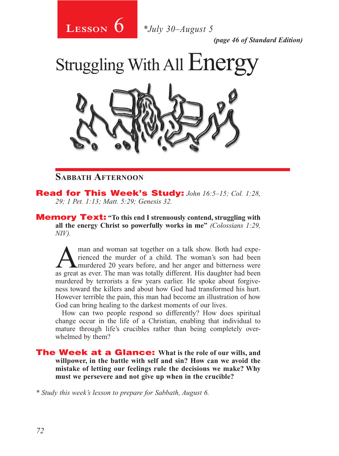

*(page 46 of Standard Edition)*

Struggling With All Energy



### **Sabbath Afternoon**

Read for This Week's Study: *John 16:5–15; Col. 1:28, 29; 1 Pet. 1:13; Matt. 5:29; Genesis 32.*

Memory Text: **"To this end I strenuously contend, struggling with all the energy Christ so powerfully works in me"** *(Colossians 1:29, NIV).* 

man and woman sat together on a talk show. Both had experienced the murder of a child. The woman's son had been<br>murdered 20 years before, and her anger and bitterness were rienced the murder of a child. The woman's son had been as great as ever. The man was totally different. His daughter had been murdered by terrorists a few years earlier. He spoke about forgiveness toward the killers and about how God had transformed his hurt. However terrible the pain, this man had become an illustration of how God can bring healing to the darkest moments of our lives.

How can two people respond so differently? How does spiritual change occur in the life of a Christian, enabling that individual to mature through life's crucibles rather than being completely overwhelmed by them?

The Week at a Glance: **What is the role of our wills, and willpower, in the battle with self and sin? How can we avoid the mistake of letting our feelings rule the decisions we make? Why must we persevere and not give up when in the crucible?** 

*\* Study this week's lesson to prepare for Sabbath, August 6.*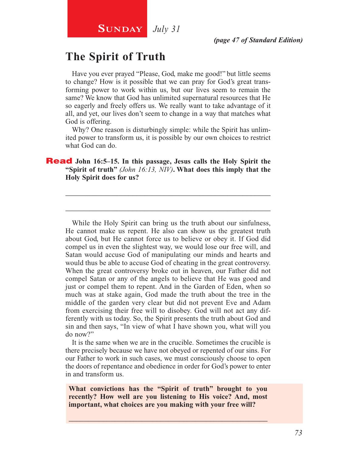# **The Spirit of Truth**

Have you ever prayed "Please, God, make me good!" but little seems to change? How is it possible that we can pray for God's great transforming power to work within us, but our lives seem to remain the same? We know that God has unlimited supernatural resources that He so eagerly and freely offers us. We really want to take advantage of it all, and yet, our lives don't seem to change in a way that matches what God is offering.

Why? One reason is disturbingly simple: while the Spirit has unlimited power to transform us, it is possible by our own choices to restrict what God can do.

\_\_\_\_\_\_\_\_\_\_\_\_\_\_\_\_\_\_\_\_\_\_\_\_\_\_\_\_\_\_\_\_\_\_\_\_\_\_\_\_\_\_\_\_\_\_\_\_\_\_\_\_

\_\_\_\_\_\_\_\_\_\_\_\_\_\_\_\_\_\_\_\_\_\_\_\_\_\_\_\_\_\_\_\_\_\_\_\_\_\_\_\_\_\_\_\_\_\_\_\_\_\_\_\_

Read **John 16:5–15. In this passage, Jesus calls the Holy Spirit the "Spirit of truth"** *(John 16:13, NIV)***. What does this imply that the Holy Spirit does for us?**

While the Holy Spirit can bring us the truth about our sinfulness, He cannot make us repent. He also can show us the greatest truth about God, but He cannot force us to believe or obey it. If God did compel us in even the slightest way, we would lose our free will, and Satan would accuse God of manipulating our minds and hearts and would thus be able to accuse God of cheating in the great controversy. When the great controversy broke out in heaven, our Father did not compel Satan or any of the angels to believe that He was good and just or compel them to repent. And in the Garden of Eden, when so much was at stake again, God made the truth about the tree in the middle of the garden very clear but did not prevent Eve and Adam from exercising their free will to disobey. God will not act any differently with us today. So, the Spirit presents the truth about God and sin and then says, "In view of what I have shown you, what will you do now?"

It is the same when we are in the crucible. Sometimes the crucible is there precisely because we have not obeyed or repented of our sins. For our Father to work in such cases, we must consciously choose to open the doors of repentance and obedience in order for God's power to enter in and transform us.

**What convictions has the "Spirit of truth" brought to you recently? How well are you listening to His voice? And, most important, what choices are you making with your free will?**

\_\_\_\_\_\_\_\_\_\_\_\_\_\_\_\_\_\_\_\_\_\_\_\_\_\_\_\_\_\_\_\_\_\_\_\_\_\_\_\_\_\_\_\_\_\_\_\_\_\_\_\_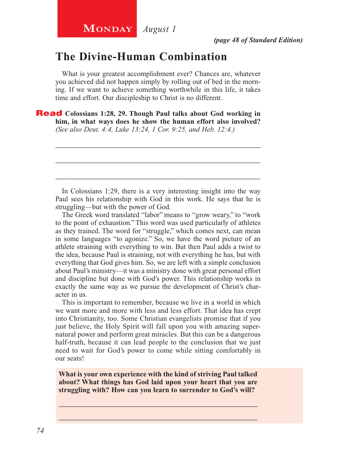### **The Divine-Human Combination**

What is your greatest accomplishment ever? Chances are, whatever you achieved did not happen simply by rolling out of bed in the morning. If we want to achieve something worthwhile in this life, it takes time and effort. Our discipleship to Christ is no different.

Read **Colossians 1:28, 29. Though Paul talks about God working in him, in what ways does he show the human effort also involved?**  *(See also Deut. 4:4, Luke 13:24, 1 Cor. 9:25, and Heb. 12:4.)*

In Colossians 1:29, there is a very interesting insight into the way Paul sees his relationship with God in this work. He says that he is struggling—but with the power of God.

\_\_\_\_\_\_\_\_\_\_\_\_\_\_\_\_\_\_\_\_\_\_\_\_\_\_\_\_\_\_\_\_\_\_\_\_\_\_\_\_\_\_\_\_\_\_\_\_\_\_\_\_

\_\_\_\_\_\_\_\_\_\_\_\_\_\_\_\_\_\_\_\_\_\_\_\_\_\_\_\_\_\_\_\_\_\_\_\_\_\_\_\_\_\_\_\_\_\_\_\_\_\_\_\_

\_\_\_\_\_\_\_\_\_\_\_\_\_\_\_\_\_\_\_\_\_\_\_\_\_\_\_\_\_\_\_\_\_\_\_\_\_\_\_\_\_\_\_\_\_\_\_\_\_\_\_\_

The Greek word translated "labor" means to "grow weary," to "work to the point of exhaustion." This word was used particularly of athletes as they trained. The word for "struggle," which comes next, can mean in some languages "to agonize." So, we have the word picture of an athlete straining with everything to win. But then Paul adds a twist to the idea, because Paul is straining, not with everything he has, but with everything that God gives him. So, we are left with a simple conclusion about Paul's ministry—it was a ministry done with great personal effort and discipline but done with God's power. This relationship works in exactly the same way as we pursue the development of Christ's character in us.

This is important to remember, because we live in a world in which we want more and more with less and less effort. That idea has crept into Christianity, too. Some Christian evangelists promise that if you just believe, the Holy Spirit will fall upon you with amazing supernatural power and perform great miracles. But this can be a dangerous half-truth, because it can lead people to the conclusion that we just need to wait for God's power to come while sitting comfortably in our seats!

**What is your own experience with the kind of striving Paul talked about? What things has God laid upon your heart that you are struggling with? How can you learn to surrender to God's will?**

\_\_\_\_\_\_\_\_\_\_\_\_\_\_\_\_\_\_\_\_\_\_\_\_\_\_\_\_\_\_\_\_\_\_\_\_\_\_\_\_\_\_\_\_\_\_\_\_\_\_\_\_ \_\_\_\_\_\_\_\_\_\_\_\_\_\_\_\_\_\_\_\_\_\_\_\_\_\_\_\_\_\_\_\_\_\_\_\_\_\_\_\_\_\_\_\_\_\_\_\_\_\_\_\_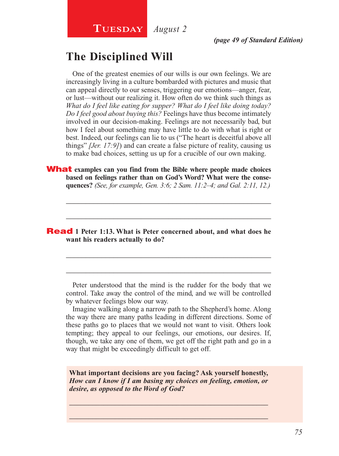# **The Disciplined Will**

One of the greatest enemies of our wills is our own feelings. We are increasingly living in a culture bombarded with pictures and music that can appeal directly to our senses, triggering our emotions—anger, fear, or lust—without our realizing it. How often do we think such things as *What do I feel like eating for supper? What do I feel like doing today? Do I feel good about buying this?* Feelings have thus become intimately involved in our decision-making. Feelings are not necessarily bad, but how I feel about something may have little to do with what is right or best. Indeed, our feelings can lie to us ("The heart is deceitful above all things" *[Jer. 17:9]*) and can create a false picture of reality, causing us to make bad choices, setting us up for a crucible of our own making.

What **examples can you find from the Bible where people made choices based on feelings rather than on God's Word? What were the consequences?** *(See, for example, Gen. 3:6; 2 Sam. 11:2–4; and Gal. 2:11, 12.)*

\_\_\_\_\_\_\_\_\_\_\_\_\_\_\_\_\_\_\_\_\_\_\_\_\_\_\_\_\_\_\_\_\_\_\_\_\_\_\_\_\_\_\_\_\_\_\_\_\_\_\_\_

\_\_\_\_\_\_\_\_\_\_\_\_\_\_\_\_\_\_\_\_\_\_\_\_\_\_\_\_\_\_\_\_\_\_\_\_\_\_\_\_\_\_\_\_\_\_\_\_\_\_\_\_

\_\_\_\_\_\_\_\_\_\_\_\_\_\_\_\_\_\_\_\_\_\_\_\_\_\_\_\_\_\_\_\_\_\_\_\_\_\_\_\_\_\_\_\_\_\_\_\_\_\_\_\_

\_\_\_\_\_\_\_\_\_\_\_\_\_\_\_\_\_\_\_\_\_\_\_\_\_\_\_\_\_\_\_\_\_\_\_\_\_\_\_\_\_\_\_\_\_\_\_\_\_\_\_\_

### Read **1 Peter 1:13. What is Peter concerned about, and what does he want his readers actually to do?**

Peter understood that the mind is the rudder for the body that we control. Take away the control of the mind, and we will be controlled by whatever feelings blow our way.

Imagine walking along a narrow path to the Shepherd's home. Along the way there are many paths leading in different directions. Some of these paths go to places that we would not want to visit. Others look tempting; they appeal to our feelings, our emotions, our desires. If, though, we take any one of them, we get off the right path and go in a way that might be exceedingly difficult to get off.

**What important decisions are you facing? Ask yourself honestly,**  *How can I know if I am basing my choices on feeling, emotion, or desire, as opposed to the Word of God?*

 $\_$  , and the set of the set of the set of the set of the set of the set of the set of the set of the set of the set of the set of the set of the set of the set of the set of the set of the set of the set of the set of th \_\_\_\_\_\_\_\_\_\_\_\_\_\_\_\_\_\_\_\_\_\_\_\_\_\_\_\_\_\_\_\_\_\_\_\_\_\_\_\_\_\_\_\_\_\_\_\_\_\_\_\_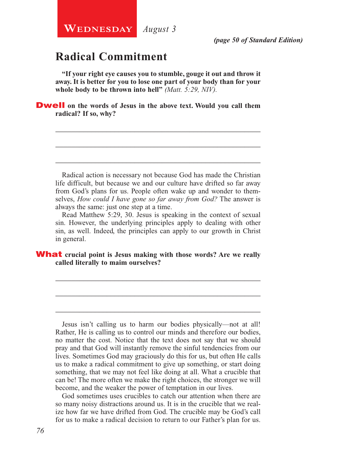# **Radical Commitment**

**"If your right eye causes you to stumble, gouge it out and throw it away. It is better for you to lose one part of your body than for your whole body to be thrown into hell"** *(Matt. 5:29, NIV).*

\_\_\_\_\_\_\_\_\_\_\_\_\_\_\_\_\_\_\_\_\_\_\_\_\_\_\_\_\_\_\_\_\_\_\_\_\_\_\_\_\_\_\_\_\_\_\_\_\_\_\_\_

\_\_\_\_\_\_\_\_\_\_\_\_\_\_\_\_\_\_\_\_\_\_\_\_\_\_\_\_\_\_\_\_\_\_\_\_\_\_\_\_\_\_\_\_\_\_\_\_\_\_\_\_

\_\_\_\_\_\_\_\_\_\_\_\_\_\_\_\_\_\_\_\_\_\_\_\_\_\_\_\_\_\_\_\_\_\_\_\_\_\_\_\_\_\_\_\_\_\_\_\_\_\_\_\_

**Dwell** on the words of Jesus in the above text. Would you call them **radical? If so, why?**

Radical action is necessary not because God has made the Christian life difficult, but because we and our culture have drifted so far away from God's plans for us. People often wake up and wonder to themselves, *How could I have gone so far away from God?* The answer is always the same: just one step at a time.

Read Matthew 5:29, 30. Jesus is speaking in the context of sexual sin. However, the underlying principles apply to dealing with other sin, as well. Indeed, the principles can apply to our growth in Christ in general.

\_\_\_\_\_\_\_\_\_\_\_\_\_\_\_\_\_\_\_\_\_\_\_\_\_\_\_\_\_\_\_\_\_\_\_\_\_\_\_\_\_\_\_\_\_\_\_\_\_\_\_\_

\_\_\_\_\_\_\_\_\_\_\_\_\_\_\_\_\_\_\_\_\_\_\_\_\_\_\_\_\_\_\_\_\_\_\_\_\_\_\_\_\_\_\_\_\_\_\_\_\_\_\_\_

\_\_\_\_\_\_\_\_\_\_\_\_\_\_\_\_\_\_\_\_\_\_\_\_\_\_\_\_\_\_\_\_\_\_\_\_\_\_\_\_\_\_\_\_\_\_\_\_\_\_\_\_

What **crucial point is Jesus making with those words? Are we really called literally to maim ourselves?**

Jesus isn't calling us to harm our bodies physically—not at all! Rather, He is calling us to control our minds and therefore our bodies, no matter the cost. Notice that the text does not say that we should pray and that God will instantly remove the sinful tendencies from our lives. Sometimes God may graciously do this for us, but often He calls us to make a radical commitment to give up something, or start doing something, that we may not feel like doing at all. What a crucible that can be! The more often we make the right choices, the stronger we will become, and the weaker the power of temptation in our lives.

God sometimes uses crucibles to catch our attention when there are so many noisy distractions around us. It is in the crucible that we realize how far we have drifted from God. The crucible may be God's call for us to make a radical decision to return to our Father's plan for us.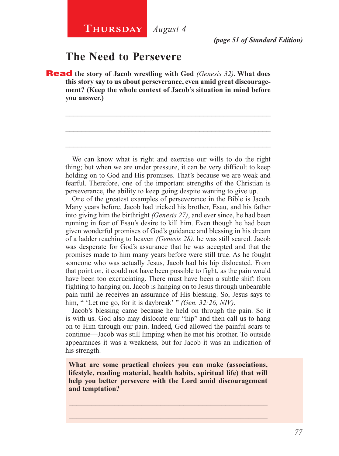### **The Need to Persevere**

Read **the story of Jacob wrestling with God** *(Genesis 32)***. What does this story say to us about perseverance, even amid great discouragement? (Keep the whole context of Jacob's situation in mind before you answer.)**

We can know what is right and exercise our wills to do the right thing; but when we are under pressure, it can be very difficult to keep holding on to God and His promises. That's because we are weak and fearful. Therefore, one of the important strengths of the Christian is perseverance, the ability to keep going despite wanting to give up.

\_\_\_\_\_\_\_\_\_\_\_\_\_\_\_\_\_\_\_\_\_\_\_\_\_\_\_\_\_\_\_\_\_\_\_\_\_\_\_\_\_\_\_\_\_\_\_\_\_\_\_\_

\_\_\_\_\_\_\_\_\_\_\_\_\_\_\_\_\_\_\_\_\_\_\_\_\_\_\_\_\_\_\_\_\_\_\_\_\_\_\_\_\_\_\_\_\_\_\_\_\_\_\_\_

\_\_\_\_\_\_\_\_\_\_\_\_\_\_\_\_\_\_\_\_\_\_\_\_\_\_\_\_\_\_\_\_\_\_\_\_\_\_\_\_\_\_\_\_\_\_\_\_\_\_\_\_

One of the greatest examples of perseverance in the Bible is Jacob. Many years before, Jacob had tricked his brother, Esau, and his father into giving him the birthright *(Genesis 27)*, and ever since, he had been running in fear of Esau's desire to kill him. Even though he had been given wonderful promises of God's guidance and blessing in his dream of a ladder reaching to heaven *(Genesis 28)*, he was still scared. Jacob was desperate for God's assurance that he was accepted and that the promises made to him many years before were still true. As he fought someone who was actually Jesus, Jacob had his hip dislocated. From that point on, it could not have been possible to fight, as the pain would have been too excruciating. There must have been a subtle shift from fighting to hanging on. Jacob is hanging on to Jesus through unbearable pain until he receives an assurance of His blessing. So, Jesus says to him, " 'Let me go, for it is daybreak' " *(Gen. 32:26, NIV)*.

Jacob's blessing came because he held on through the pain. So it is with us. God also may dislocate our "hip" and then call us to hang on to Him through our pain. Indeed, God allowed the painful scars to continue—Jacob was still limping when he met his brother. To outside appearances it was a weakness, but for Jacob it was an indication of his strength.

**What are some practical choices you can make (associations, lifestyle, reading material, health habits, spiritual life) that will help you better persevere with the Lord amid discouragement and temptation?**

\_\_\_\_\_\_\_\_\_\_\_\_\_\_\_\_\_\_\_\_\_\_\_\_\_\_\_\_\_\_\_\_\_\_\_\_\_\_\_\_\_\_\_\_\_\_\_\_\_\_\_\_ \_\_\_\_\_\_\_\_\_\_\_\_\_\_\_\_\_\_\_\_\_\_\_\_\_\_\_\_\_\_\_\_\_\_\_\_\_\_\_\_\_\_\_\_\_\_\_\_\_\_\_\_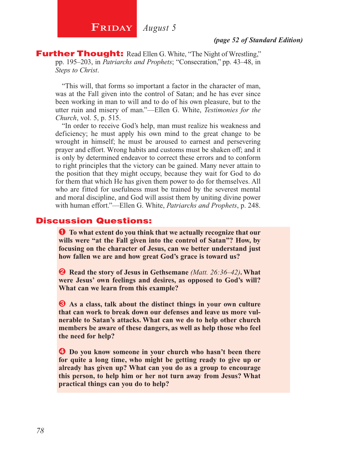**FRIDAY** *August 5* 

**Further Thought:** Read Ellen G. White, "The Night of Wrestling," pp. 195–203, in *Patriarchs and Prophets*; "Consecration," pp. 43–48, in *Steps to Christ*.

"This will, that forms so important a factor in the character of man, was at the Fall given into the control of Satan; and he has ever since been working in man to will and to do of his own pleasure, but to the utter ruin and misery of man."—Ellen G. White, *Testimonies for the Church*, vol. 5, p. 515.

"In order to receive God's help, man must realize his weakness and deficiency; he must apply his own mind to the great change to be wrought in himself; he must be aroused to earnest and persevering prayer and effort. Wrong habits and customs must be shaken off; and it is only by determined endeavor to correct these errors and to conform to right principles that the victory can be gained. Many never attain to the position that they might occupy, because they wait for God to do for them that which He has given them power to do for themselves. All who are fitted for usefulness must be trained by the severest mental and moral discipline, and God will assist them by uniting divine power with human effort."—Ellen G. White, *Patriarchs and Prophets*, p. 248.

### Discussion Questions:

Ê **To what extent do you think that we actually recognize that our wills were "at the Fall given into the control of Satan"? How, by focusing on the character of Jesus, can we better understand just how fallen we are and how great God's grace is toward us?**

Ë **Read the story of Jesus in Gethsemane** *(Matt. 26:36–42)***. What were Jesus' own feelings and desires, as opposed to God's will? What can we learn from this example?**

 $\bullet$  As a class, talk about the distinct things in your own culture **that can work to break down our defenses and leave us more vulnerable to Satan's attacks. What can we do to help other church members be aware of these dangers, as well as help those who feel the need for help?** 

 $\bullet$  Do you know someone in your church who hasn't been there **for quite a long time, who might be getting ready to give up or already has given up? What can you do as a group to encourage this person, to help him or her not turn away from Jesus? What practical things can you do to help?**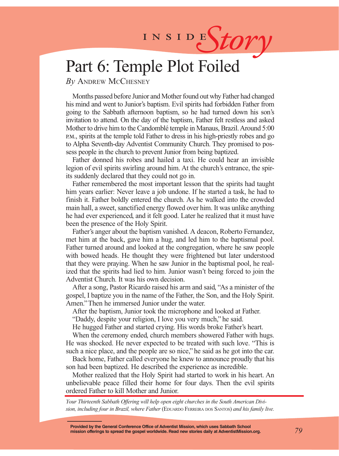# INSIDES*tory*

# Part 6: Temple Plot Foiled

*By* Andrew McChesney

Months passed before Junior and Mother found out why Father had changed his mind and went to Junior's baptism. Evil spirits had forbidden Father from going to the Sabbath afternoon baptism, so he had turned down his son's invitation to attend. On the day of the baptism, Father felt restless and asked Mother to drive him to the Candomblé temple in Manaus, Brazil. Around 5:00 p.m., spirits at the temple told Father to dress in his high-priestly robes and go to Alpha Seventh-day Adventist Community Church. They promised to possess people in the church to prevent Junior from being baptized.

Father donned his robes and hailed a taxi. He could hear an invisible legion of evil spirits swirling around him. At the church's entrance, the spirits suddenly declared that they could not go in.

Father remembered the most important lesson that the spirits had taught him years earlier: Never leave a job undone. If he started a task, he had to finish it. Father boldly entered the church. As he walked into the crowded main hall, a sweet, sanctified energy flowed over him. It was unlike anything he had ever experienced, and it felt good. Later he realized that it must have been the presence of the Holy Spirit.

Father's anger about the baptism vanished. A deacon, Roberto Fernandez, met him at the back, gave him a hug, and led him to the baptismal pool. Father turned around and looked at the congregation, where he saw people with bowed heads. He thought they were frightened but later understood that they were praying. When he saw Junior in the baptismal pool, he realized that the spirits had lied to him. Junior wasn't being forced to join the Adventist Church. It was his own decision.

After a song, Pastor Ricardo raised his arm and said, "As a minister of the gospel, I baptize you in the name of the Father, the Son, and the Holy Spirit. Amen." Then he immersed Junior under the water.

After the baptism, Junior took the microphone and looked at Father.

"Daddy, despite your religion, I love you very much," he said.

He hugged Father and started crying. His words broke Father's heart.

When the ceremony ended, church members showered Father with hugs. He was shocked. He never expected to be treated with such love. "This is such a nice place, and the people are so nice," he said as he got into the car.

Back home, Father called everyone he knew to announce proudly that his son had been baptized. He described the experience as incredible.

Mother realized that the Holy Spirit had started to work in his heart. An unbelievable peace filled their home for four days. Then the evil spirits ordered Father to kill Mother and Junior.

*Your Thirteenth Sabbath Offering will help open eight churches in the South American Division, including four in Brazil, where Father* (Eduardo Ferreira dos Santos) *and his family live.*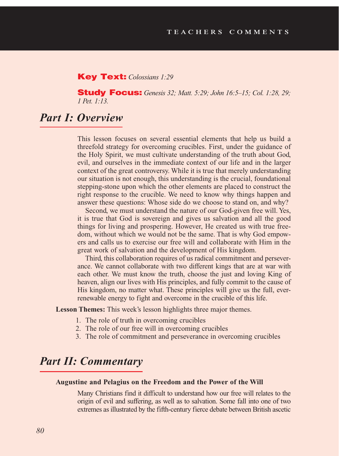### Key Text: *Colossians 1:29*

Study Focus: *Genesis 32; Matt. 5:29; John 16:5–15; Col. 1:28, 29; 1 Pet. 1:13.*

### *Part I: Overview*

This lesson focuses on several essential elements that help us build a threefold strategy for overcoming crucibles. First, under the guidance of the Holy Spirit, we must cultivate understanding of the truth about God, evil, and ourselves in the immediate context of our life and in the larger context of the great controversy. While it is true that merely understanding our situation is not enough, this understanding is the crucial, foundational stepping-stone upon which the other elements are placed to construct the right response to the crucible. We need to know why things happen and answer these questions: Whose side do we choose to stand on, and why?

Second, we must understand the nature of our God-given free will. Yes, it is true that God is sovereign and gives us salvation and all the good things for living and prospering. However, He created us with true freedom, without which we would not be the same. That is why God empowers and calls us to exercise our free will and collaborate with Him in the great work of salvation and the development of His kingdom.

Third, this collaboration requires of us radical commitment and perseverance. We cannot collaborate with two different kings that are at war with each other. We must know the truth, choose the just and loving King of heaven, align our lives with His principles, and fully commit to the cause of His kingdom, no matter what. These principles will give us the full, everrenewable energy to fight and overcome in the crucible of this life.

**Lesson Themes:** This week's lesson highlights three major themes.

- 1. The role of truth in overcoming crucibles
- 2. The role of our free will in overcoming crucibles
- 3. The role of commitment and perseverance in overcoming crucibles

### *Part II: Commentary*

#### **Augustine and Pelagius on the Freedom and the Power of the Will**

Many Christians find it difficult to understand how our free will relates to the origin of evil and suffering, as well as to salvation. Some fall into one of two extremes as illustrated by the fifth-century fierce debate between British ascetic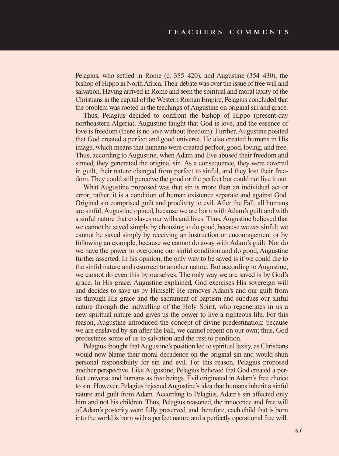Pelagius, who settled in Rome (c. 355–420), and Augustine (354–430), the bishop of Hippo in North Africa. Their debate was over the issue of free will and salvation. Having arrived in Rome and seen the spiritual and moral laxity of the Christians in the capital of the Western Roman Empire, Pelagius concluded that the problem was rooted in the teachings of Augustine on original sin and grace.

Thus, Pelagius decided to confront the bishop of Hippo (present-day northeastern Algeria). Augustine taught that God is love, and the essence of love is freedom (there is no love without freedom). Further, Augustine posited that God created a perfect and good universe. He also created humans in His image, which means that humans were created perfect, good, loving, and free. Thus, according to Augustine, when Adam and Eve abused their freedom and sinned, they generated the original sin. As a consequence, they were covered in guilt, their nature changed from perfect to sinful, and they lost their freedom. They could still perceive the good or the perfect but could not live it out.

What Augustine proposed was that sin is more than an individual act or error; rather, it is a condition of human existence separate and against God. Original sin comprised guilt and proclivity to evil. After the Fall, all humans are sinful, Augustine opined, because we are born with Adam's guilt and with a sinful nature that enslaves our wills and lives. Thus, Augustine believed that we cannot be saved simply by choosing to do good, because we *are* sinful; we cannot be saved simply by receiving an instruction or encouragement or by following an example, because we cannot do away with Adam's guilt. Nor do we have the power to overcome our sinful condition and do good, Augustine further asserted. In his opinion, the only way to be saved is if we could die to the sinful nature and resurrect to another nature. But according to Augustine, we cannot do even this by ourselves. The only way we are saved is by God's grace. In His grace, Augustine explained, God exercises His sovereign will and decides to save us by Himself: He removes Adam's and our guilt from us through His grace and the sacrament of baptism and subdues our sinful nature through the indwelling of the Holy Spirit, who regenerates in us a new spiritual nature and gives us the power to live a righteous life. For this reason, Augustine introduced the concept of divine predestination: because we are enslaved by sin after the Fall, we cannot repent on our own; thus, God predestines some of us to salvation and the rest to perdition.

Pelagius thought that Augustine's position led to spiritual laxity, as Christians would now blame their moral decadence on the original sin and would shun personal responsibility for sin and evil. For this reason, Pelagius proposed another perspective. Like Augustine, Pelagius believed that God created a perfect universe and humans as free beings. Evil originated in Adam's free choice to sin. However, Pelagius rejected Augustine's idea that humans inherit a sinful nature and guilt from Adam. According to Pelagius, Adam's sin affected only him and not his children. Thus, Pelagius reasoned, the innocence and free will of Adam's posterity were fully preserved, and therefore, each child that is born into the world is born with a perfect nature and a perfectly operational free will.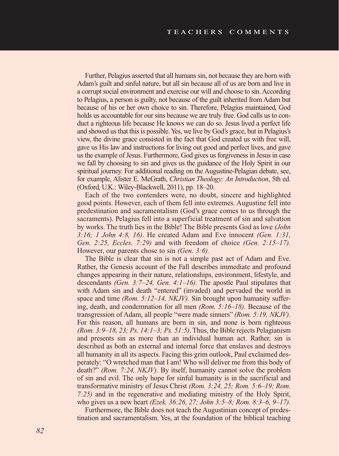Further, Pelagius asserted that all humans sin, not because they are born with Adam's guilt and sinful nature, but all sin because all of us are born and live in a corrupt social environment and exercise our will and choose to sin. According to Pelagius, a person is guilty, not because of the guilt inherited from Adam but because of his or her own choice to sin. Therefore, Pelagius maintained, God holds us accountable for our sins because we are truly free. God calls us to conduct a righteous life because He knows we can do so. Jesus lived a perfect life and showed us that this is possible. Yes, we live by God's grace, but in Pelagius's view, the divine grace consisted in the fact that God created us with free will, gave us His law and instructions for living out good and perfect lives, and gave us the example of Jesus. Furthermore, God gives us forgiveness in Jesus in case we fall by choosing to sin and gives us the guidance of the Holy Spirit in our spiritual journey. For additional reading on the Augustine-Pelagian debate, see, for example, Alister E. McGrath, *Christian Theology: An Introduction*, 5th ed. (Oxford, U.K.: Wiley-Blackwell, 2011), pp. 18–20.

Each of the two contenders were, no doubt, sincere and highlighted good points. However, each of them fell into extremes. Augustine fell into predestination and sacramentalism (God's grace comes to us through the sacraments). Pelagius fell into a superficial treatment of sin and salvation by works. The truth lies in the Bible! The Bible presents God as love *(John 3:16; 1 John 4:8, 16)*. He created Adam and Eve innocent *(Gen. 1:31, Gen. 2:25, Eccles. 7:29)* and with freedom of choice *(Gen. 2:15–17).* However, our parents chose to sin *(Gen. 3:6).*

The Bible is clear that sin is not a simple past act of Adam and Eve. Rather, the Genesis account of the Fall describes immediate and profound changes appearing in their nature, relationships, environment, lifestyle, and descendants *(Gen. 3:7–24, Gen. 4:1–16).* The apostle Paul stipulates that with Adam sin and death "entered" (invaded) and pervaded the world in space and time *(Rom. 5:12–14, NKJV)*. Sin brought upon humanity suffering, death, and condemnation for all men *(Rom. 5:16–18).* Because of the transgression of Adam, all people "were made sinners" *(Rom. 5:19, NKJV)*. For this reason, all humans are born in sin, and none is born righteous *(Rom. 3:9–18, 23; Ps. 14:1–3; Ps. 51:5)*. Thus, the Bible rejects Pelagianism and presents sin as more than an individual human act. Rather, sin is described as both an external and internal force that enslaves and destroys all humanity in all its aspects. Facing this grim outlook, Paul exclaimed desperately: "O wretched man that I am! Who will deliver me from this body of death?" *(Rom. 7:24, NKJV).* By itself, humanity cannot solve the problem of sin and evil. The only hope for sinful humanity is in the sacrificial and transformative ministry of Jesus Christ *(Rom. 3:24, 25; Rom. 5:6–19; Rom. 7:25)* and in the regenerative and mediating ministry of the Holy Spirit, who gives us a new heart *(Ezek. 36:26, 27; John 3:5–8; Rom. 8:3–6, 9–17).*

Furthermore, the Bible does not teach the Augustinian concept of predestination and sacramentalism. Yes, at the foundation of the biblical teaching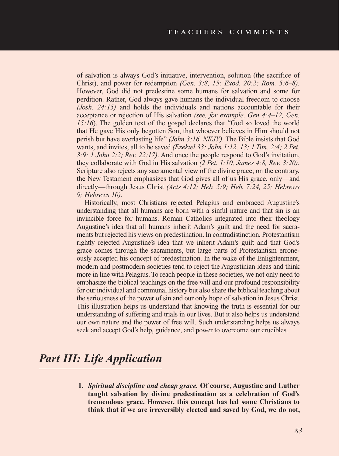of salvation is always God's initiative, intervention, solution (the sacrifice of Christ), and power for redemption *(Gen. 3:8, 15; Exod. 20:2; Rom. 5:6–8).*  However, God did not predestine some humans for salvation and some for perdition. Rather, God always gave humans the individual freedom to choose *(Josh. 24:15)* and holds the individuals and nations accountable for their acceptance or rejection of His salvation *(see, for example, Gen 4:4–12, Gen. 15:16*). The golden text of the gospel declares that "God so loved the world that He gave His only begotten Son, that whoever believes in Him should not perish but have everlasting life" *(John 3:16, NKJV).* The Bible insists that God wants, and invites, all to be saved *(Ezekiel 33; John 1:12, 13; 1 Tim. 2:4; 2 Pet. 3:9; 1 John 2:2; Rev. 22:17)*. And once the people respond to God's invitation, they collaborate with God in His salvation *(2 Pet. 1:10, James 4:8, Rev. 3:20).* Scripture also rejects any sacramental view of the divine grace; on the contrary, the New Testament emphasizes that God gives all of us His grace, only—and directly—through Jesus Christ *(Acts 4:12; Heb. 5:9; Heb. 7:24, 25; Hebrews 9; Hebrews 10).* 

Historically, most Christians rejected Pelagius and embraced Augustine's understanding that all humans are born with a sinful nature and that sin is an invincible force for humans. Roman Catholics integrated into their theology Augustine's idea that all humans inherit Adam's guilt and the need for sacraments but rejected his views on predestination. In contradistinction, Protestantism rightly rejected Augustine's idea that we inherit Adam's guilt and that God's grace comes through the sacraments, but large parts of Protestantism erroneously accepted his concept of predestination. In the wake of the Enlightenment, modern and postmodern societies tend to reject the Augustinian ideas and think more in line with Pelagius. To reach people in these societies, we not only need to emphasize the biblical teachings on the free will and our profound responsibility for our individual and communal history but also share the biblical teaching about the seriousness of the power of sin and our only hope of salvation in Jesus Christ. This illustration helps us understand that knowing the truth is essential for our understanding of suffering and trials in our lives. But it also helps us understand our own nature and the power of free will. Such understanding helps us always seek and accept God's help, guidance, and power to overcome our crucibles.

# *Part III: Life Application*

**1.** *Spiritual discipline and cheap grace.* **Of course, Augustine and Luther taught salvation by divine predestination as a celebration of God's tremendous grace. However, this concept has led some Christians to think that if we are irreversibly elected and saved by God, we do not,**